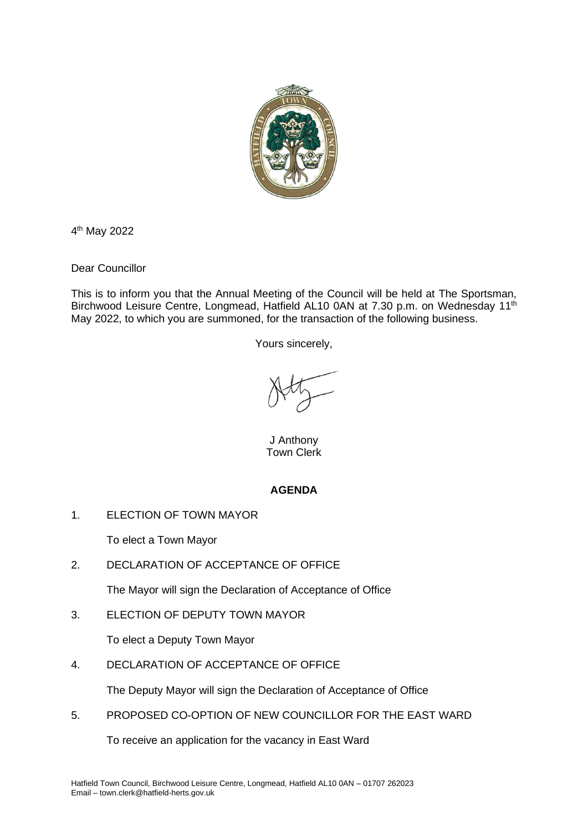

4 th May 2022

Dear Councillor

This is to inform you that the Annual Meeting of the Council will be held at The Sportsman, Birchwood Leisure Centre, Longmead, Hatfield AL10 0AN at 7.30 p.m. on Wednesday 11<sup>th</sup> May 2022, to which you are summoned, for the transaction of the following business.

Yours sincerely,

J Anthony Town Clerk

# **AGENDA**

1. ELECTION OF TOWN MAYOR

To elect a Town Mayor

2. DECLARATION OF ACCEPTANCE OF OFFICE

The Mayor will sign the Declaration of Acceptance of Office

3. ELECTION OF DEPUTY TOWN MAYOR

To elect a Deputy Town Mayor

4. DECLARATION OF ACCEPTANCE OF OFFICE

The Deputy Mayor will sign the Declaration of Acceptance of Office

5. PROPOSED CO-OPTION OF NEW COUNCILLOR FOR THE EAST WARD

To receive an application for the vacancy in East Ward